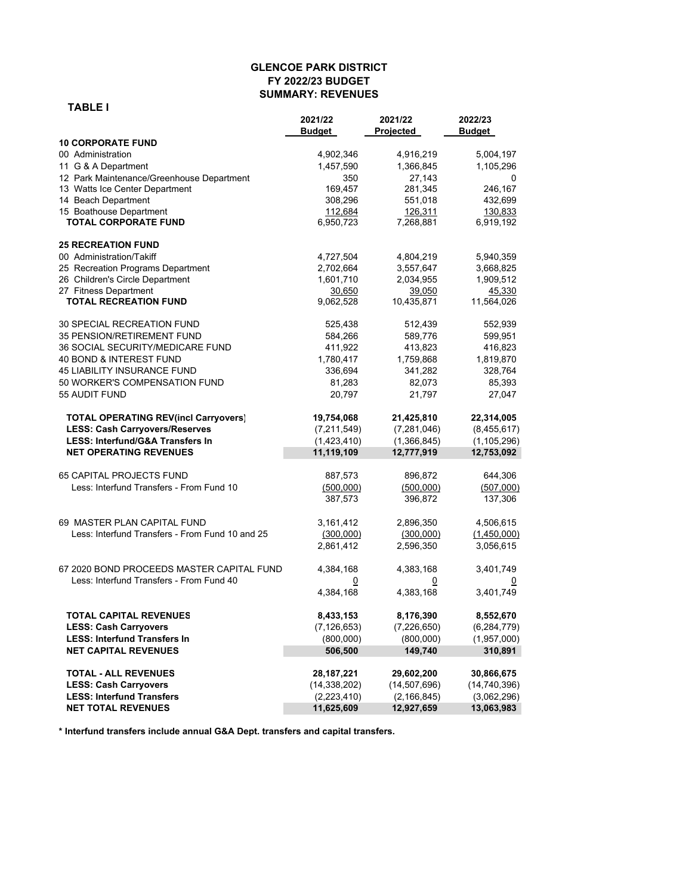#### **GLENCOE PARK DISTRICT FY 2022/23 BUDGET SUMMARY: REVENUES**

 **TABLE I**

|                                                 | 2021/22        | 2021/22        | 2022/23        |
|-------------------------------------------------|----------------|----------------|----------------|
|                                                 | Budget         | Projected      | Budget         |
| <b>10 CORPORATE FUND</b>                        |                |                |                |
| 00 Administration                               | 4,902,346      | 4,916,219      | 5,004,197      |
| 11 G & A Department                             | 1,457,590      | 1,366,845      | 1,105,296      |
| 12 Park Maintenance/Greenhouse Department       | 350            | 27,143         | 0              |
| 13 Watts Ice Center Department                  | 169,457        | 281,345        | 246,167        |
| 14 Beach Department                             | 308,296        | 551,018        | 432,699        |
| 15 Boathouse Department                         | 112,684        | 126,311        | 130,833        |
| <b>TOTAL CORPORATE FUND</b>                     | 6,950,723      | 7,268,881      | 6,919,192      |
| <b>25 RECREATION FUND</b>                       |                |                |                |
| 00 Administration/Takiff                        | 4,727,504      | 4,804,219      | 5,940,359      |
| 25 Recreation Programs Department               | 2,702,664      | 3,557,647      | 3,668,825      |
| 26 Children's Circle Department                 | 1,601,710      | 2,034,955      | 1,909,512      |
| 27 Fitness Department                           | 30,650         | 39,050         | 45,330         |
| <b>TOTAL RECREATION FUND</b>                    | 9,062,528      | 10,435,871     | 11,564,026     |
| 30 SPECIAL RECREATION FUND                      | 525,438        | 512,439        | 552,939        |
| <b>35 PENSION/RETIREMENT FUND</b>               | 584,266        | 589,776        | 599,951        |
| 36 SOCIAL SECURITY/MEDICARE FUND                | 411,922        | 413,823        | 416,823        |
| 40 BOND & INTEREST FUND                         | 1,780,417      | 1,759,868      | 1,819,870      |
| <b>45 LIABILITY INSURANCE FUND</b>              | 336,694        | 341,282        | 328,764        |
| 50 WORKER'S COMPENSATION FUND                   | 81,283         | 82,073         | 85,393         |
| 55 AUDIT FUND                                   | 20,797         | 21,797         | 27,047         |
| <b>TOTAL OPERATING REV(incl Carryovers)</b>     | 19,754,068     | 21,425,810     | 22,314,005     |
| <b>LESS: Cash Carryovers/Reserves</b>           | (7, 211, 549)  | (7,281,046)    | (8,455,617)    |
| <b>LESS: Interfund/G&amp;A Transfers In</b>     | (1,423,410)    | (1,366,845)    | (1, 105, 296)  |
| <b>NET OPERATING REVENUES</b>                   | 11,119,109     | 12,777,919     | 12,753,092     |
| <b>65 CAPITAL PROJECTS FUND</b>                 | 887,573        | 896,872        | 644,306        |
| Less: Interfund Transfers - From Fund 10        | (500,000)      | (500,000)      | (507,000)      |
|                                                 | 387,573        | 396,872        | 137,306        |
| 69 MASTER PLAN CAPITAL FUND                     | 3,161,412      | 2,896,350      | 4,506,615      |
| Less: Interfund Transfers - From Fund 10 and 25 | (300,000)      | (300,000)      | (1,450,000)    |
|                                                 | 2,861,412      | 2,596,350      | 3,056,615      |
| 67 2020 BOND PROCEEDS MASTER CAPITAL FUND       | 4,384,168      | 4,383,168      | 3,401,749      |
| Less: Interfund Transfers - From Fund 40        | 0              | 0              | $\overline{0}$ |
|                                                 | 4,384,168      | 4,383,168      | 3,401,749      |
| <b>TOTAL CAPITAL REVENUES</b>                   | 8,433,153      | 8,176,390      | 8,552,670      |
| <b>LESS: Cash Carryovers</b>                    | (7, 126, 653)  | (7, 226, 650)  | (6, 284, 779)  |
| <b>LESS: Interfund Transfers In</b>             | (800,000)      | (800,000)      | (1,957,000)    |
| <b>NET CAPITAL REVENUES</b>                     | 506,500        | 149,740        | 310,891        |
| <b>TOTAL - ALL REVENUES</b>                     | 28, 187, 221   | 29,602,200     | 30,866,675     |
| <b>LESS: Cash Carryovers</b>                    | (14, 338, 202) | (14, 507, 696) | (14, 740, 396) |
| <b>LESS: Interfund Transfers</b>                | (2,223,410)    | (2, 166, 845)  | (3,062,296)    |
| <b>NET TOTAL REVENUES</b>                       | 11,625,609     | 12,927,659     | 13,063,983     |

**\* Interfund transfers include annual G&A Dept. transfers and capital transfers.**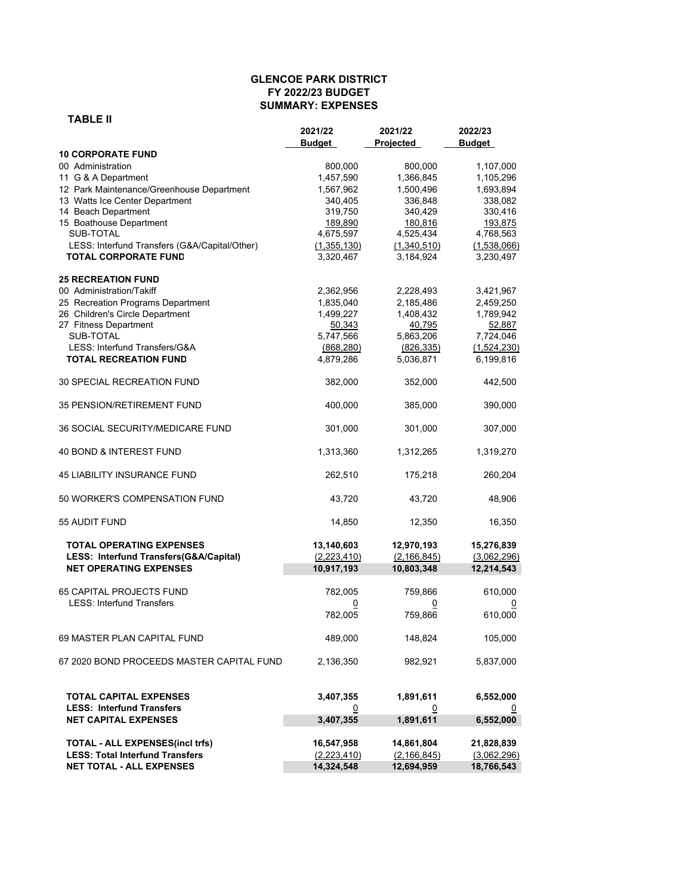#### **GLENCOE PARK DISTRICT FY 2022/23 BUDGET SUMMARY: EXPENSES**

| \BL.<br>А |  |
|-----------|--|
|-----------|--|

|                                               | 2021/22<br>Budget | 2021/22<br>Projected | 2022/23<br><b>Budget</b> |
|-----------------------------------------------|-------------------|----------------------|--------------------------|
| <b>10 CORPORATE FUND</b>                      |                   |                      |                          |
| 00 Administration                             | 800,000           | 800,000              | 1,107,000                |
| 11 G & A Department                           | 1,457,590         | 1,366,845            | 1,105,296                |
| 12 Park Maintenance/Greenhouse Department     | 1,567,962         | 1,500,496            | 1,693,894                |
| 13 Watts Ice Center Department                | 340,405           | 336,848              | 338,082                  |
| 14 Beach Department                           | 319,750           | 340,429              | 330,416                  |
| 15 Boathouse Department                       | 189,890           | 180,816              | 193,875                  |
| SUB-TOTAL                                     | 4,675,597         | 4,525,434            | 4,768,563                |
| LESS: Interfund Transfers (G&A/Capital/Other) | (1,355,130)       | (1,340,510)          | (1,538,066)              |
| <b>TOTAL CORPORATE FUND</b>                   | 3,320,467         | 3,184,924            | 3,230,497                |
| <b>25 RECREATION FUND</b>                     |                   |                      |                          |
| 00 Administration/Takiff                      | 2,362,956         | 2,228,493            | 3,421,967                |
| 25 Recreation Programs Department             | 1,835,040         | 2,185,486            | 2,459,250                |
| 26 Children's Circle Department               | 1,499,227         | 1,408,432            | 1,789,942                |
| 27 Fitness Department                         | 50,343            | 40,795               | 52,887                   |
| SUB-TOTAL                                     | 5,747,566         | 5,863,206            | 7,724,046                |
| LESS: Interfund Transfers/G&A                 | (868, 280)        | (826, 335)           | (1,524,230)              |
| <b>TOTAL RECREATION FUND</b>                  | 4,879,286         | 5,036,871            | 6,199,816                |
| <b>30 SPECIAL RECREATION FUND</b>             | 382,000           | 352,000              | 442,500                  |
| 35 PENSION/RETIREMENT FUND                    | 400,000           | 385,000              | 390,000                  |
| <b>36 SOCIAL SECURITY/MEDICARE FUND</b>       | 301,000           | 301,000              | 307,000                  |
| 40 BOND & INTEREST FUND                       | 1,313,360         | 1,312,265            | 1,319,270                |
| <b>45 LIABILITY INSURANCE FUND</b>            | 262,510           | 175,218              | 260,204                  |
| 50 WORKER'S COMPENSATION FUND                 | 43,720            | 43,720               | 48,906                   |
| 55 AUDIT FUND                                 | 14,850            | 12,350               | 16,350                   |
| <b>TOTAL OPERATING EXPENSES</b>               | 13,140,603        | 12,970,193           | 15,276,839               |
| LESS: Interfund Transfers(G&A/Capital)        | (2,223,410)       | (2, 166, 845)        | (3,062,296)              |
| <b>NET OPERATING EXPENSES</b>                 | 10,917,193        | 10,803,348           | 12,214,543               |
|                                               |                   |                      |                          |
| <b>65 CAPITAL PROJECTS FUND</b>               | 782,005           | 759,866              | 610,000                  |
| <b>LESS: Interfund Transfers</b>              |                   |                      |                          |
|                                               | 0                 | 0                    |                          |
|                                               | 782,005           | 759,866              | 610,000                  |
| 69 MASTER PLAN CAPITAL FUND                   | 489,000           | 148,824              | 105,000                  |
| 67 2020 BOND PROCEEDS MASTER CAPITAL FUND     | 2,136,350         | 982,921              | 5,837,000                |
| <b>TOTAL CAPITAL EXPENSES</b>                 | 3,407,355         | 1,891,611            | 6,552,000                |
| <b>LESS: Interfund Transfers</b>              | 0                 | 0                    | 0                        |
| <b>NET CAPITAL EXPENSES</b>                   | 3,407,355         | 1,891,611            | 6,552,000                |
|                                               |                   |                      |                          |
| TOTAL - ALL EXPENSES(incl trfs)               | 16,547,958        | 14,861,804           | 21,828,839               |
| <b>LESS: Total Interfund Transfers</b>        | (2, 223, 410)     | (2, 166, 845)        | (3,062,296)              |
| <b>NET TOTAL - ALL EXPENSES</b>               | 14,324,548        | 12,694,959           | 18,766,543               |
|                                               |                   |                      |                          |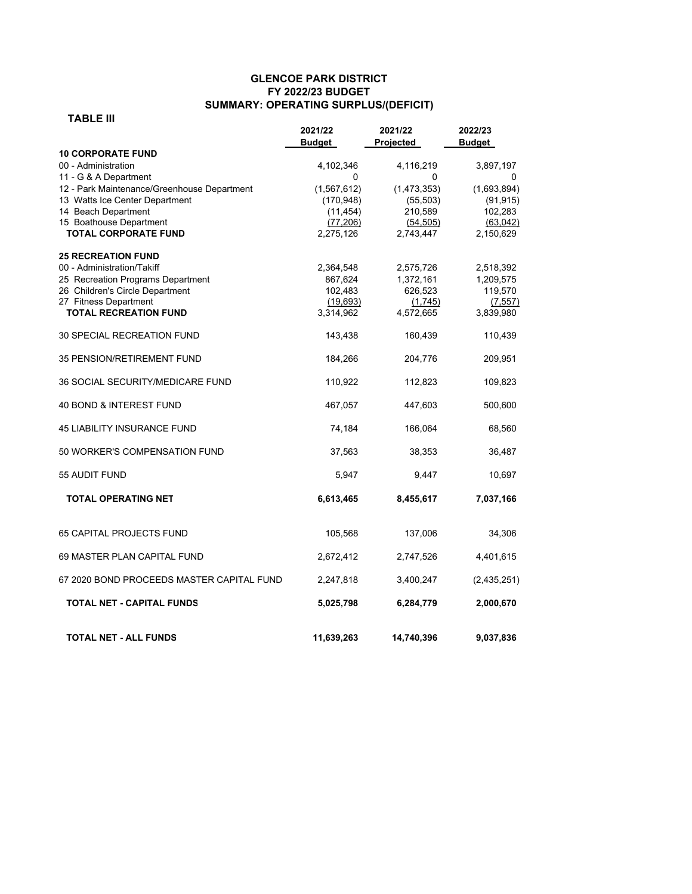### **GLENCOE PARK DISTRICT FY 2022/23 BUDGET SUMMARY: OPERATING SURPLUS/(DEFICIT)**

 **TABLE III** 

|                                             | 2021/22<br>Budget | 2021/22<br>Projected | 2022/23<br><b>Budget</b> |
|---------------------------------------------|-------------------|----------------------|--------------------------|
| <b>10 CORPORATE FUND</b>                    |                   |                      |                          |
| 00 - Administration                         | 4,102,346         | 4,116,219            | 3,897,197                |
| 11 - G & A Department                       | 0                 | 0                    | 0                        |
| 12 - Park Maintenance/Greenhouse Department | (1, 567, 612)     | (1,473,353)          | (1,693,894)              |
| 13 Watts Ice Center Department              | (170, 948)        | (55, 503)            | (91, 915)                |
| 14 Beach Department                         | (11, 454)         | 210,589              | 102,283                  |
| 15 Boathouse Department                     | (77, 206)         | (54, 505)            | (63,042)                 |
| <b>TOTAL CORPORATE FUND</b>                 | 2,275,126         | 2,743,447            | 2,150,629                |
| <b>25 RECREATION FUND</b>                   |                   |                      |                          |
| 00 - Administration/Takiff                  | 2,364,548         | 2,575,726            | 2,518,392                |
| 25 Recreation Programs Department           | 867,624           | 1,372,161            | 1,209,575                |
| 26 Children's Circle Department             | 102,483           | 626,523              | 119,570                  |
| 27 Fitness Department                       | (19,693)          | (1,745)              | (7, 557)                 |
| <b>TOTAL RECREATION FUND</b>                | 3,314,962         | 4,572,665            | 3,839,980                |
| 30 SPECIAL RECREATION FUND                  | 143,438           | 160,439              | 110,439                  |
| 35 PENSION/RETIREMENT FUND                  | 184,266           | 204,776              | 209,951                  |
| <b>36 SOCIAL SECURITY/MEDICARE FUND</b>     | 110,922           | 112,823              | 109,823                  |
| 40 BOND & INTEREST FUND                     | 467,057           | 447,603              | 500,600                  |
| <b>45 LIABILITY INSURANCE FUND</b>          | 74,184            | 166,064              | 68,560                   |
| 50 WORKER'S COMPENSATION FUND               | 37,563            | 38,353               | 36,487                   |
| 55 AUDIT FUND                               | 5,947             | 9,447                | 10,697                   |
| <b>TOTAL OPERATING NET</b>                  | 6,613,465         | 8,455,617            | 7,037,166                |
| <b>65 CAPITAL PROJECTS FUND</b>             | 105,568           | 137,006              | 34,306                   |
| 69 MASTER PLAN CAPITAL FUND                 | 2,672,412         | 2,747,526            | 4,401,615                |
| 67 2020 BOND PROCEEDS MASTER CAPITAL FUND   | 2,247,818         | 3,400,247            | (2,435,251)              |
| <b>TOTAL NET - CAPITAL FUNDS</b>            | 5,025,798         | 6,284,779            | 2,000,670                |
| <b>TOTAL NET - ALL FUNDS</b>                | 11,639,263        | 14,740,396           | 9,037,836                |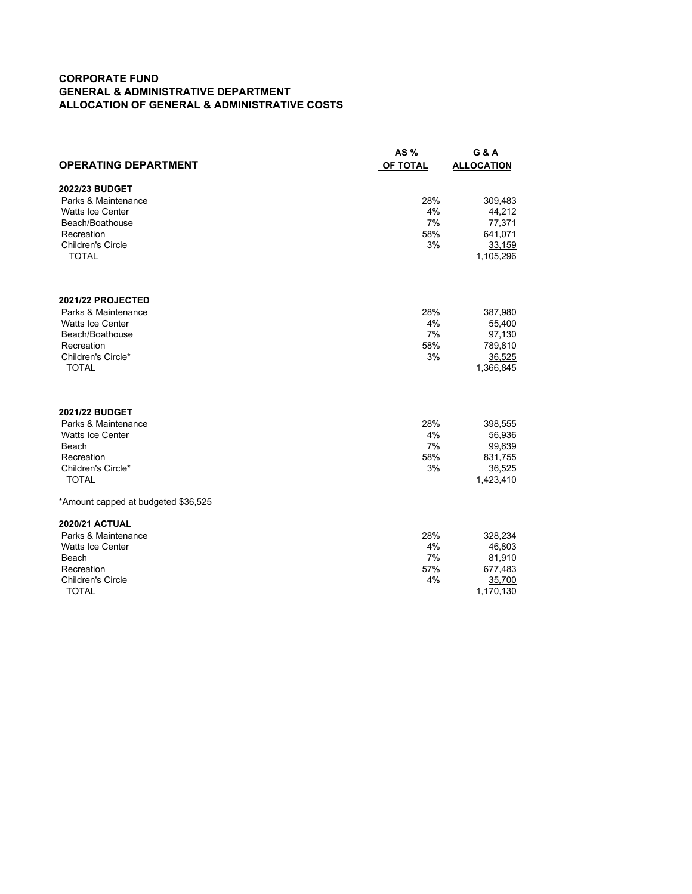### **CORPORATE FUND GENERAL & ADMINISTRATIVE DEPARTMENT ALLOCATION OF GENERAL & ADMINISTRATIVE COSTS**

|                                        | AS $%$    | <b>G &amp; A</b>    |
|----------------------------------------|-----------|---------------------|
| <b>OPERATING DEPARTMENT</b>            | OF TOTAL  | <b>ALLOCATION</b>   |
| 2022/23 BUDGET                         |           |                     |
| Parks & Maintenance                    | 28%       | 309,483             |
| <b>Watts Ice Center</b>                | 4%        | 44,212              |
| Beach/Boathouse                        | 7%        | 77,371              |
| Recreation                             | 58%       | 641,071             |
| <b>Children's Circle</b>               | 3%        | 33,159              |
| <b>TOTAL</b>                           |           | 1,105,296           |
|                                        |           |                     |
| 2021/22 PROJECTED                      |           |                     |
| Parks & Maintenance                    | 28%       | 387,980             |
| <b>Watts Ice Center</b>                | 4%        | 55,400              |
| Beach/Boathouse                        | 7%        | 97,130              |
| Recreation                             | 58%       | 789,810             |
| Children's Circle*<br><b>TOTAL</b>     | 3%        | 36,525<br>1,366,845 |
|                                        |           |                     |
| 2021/22 BUDGET                         |           |                     |
| Parks & Maintenance                    | 28%       | 398,555             |
| <b>Watts Ice Center</b>                | 4%        | 56,936              |
| Beach                                  | 7%        | 99,639              |
| Recreation                             | 58%       | 831,755             |
| Children's Circle*                     | 3%        | 36,525              |
| <b>TOTAL</b>                           |           | 1,423,410           |
| *Amount capped at budgeted \$36,525    |           |                     |
| <b>2020/21 ACTUAL</b>                  |           |                     |
| Parks & Maintenance                    | 28%       | 328,234             |
| <b>Watts Ice Center</b>                | 4%        | 46,803              |
| Beach                                  | 7%        | 81,910              |
| Recreation<br><b>Children's Circle</b> | 57%<br>4% | 677,483             |
| <b>TOTAL</b>                           |           | 35,700<br>1,170,130 |
|                                        |           |                     |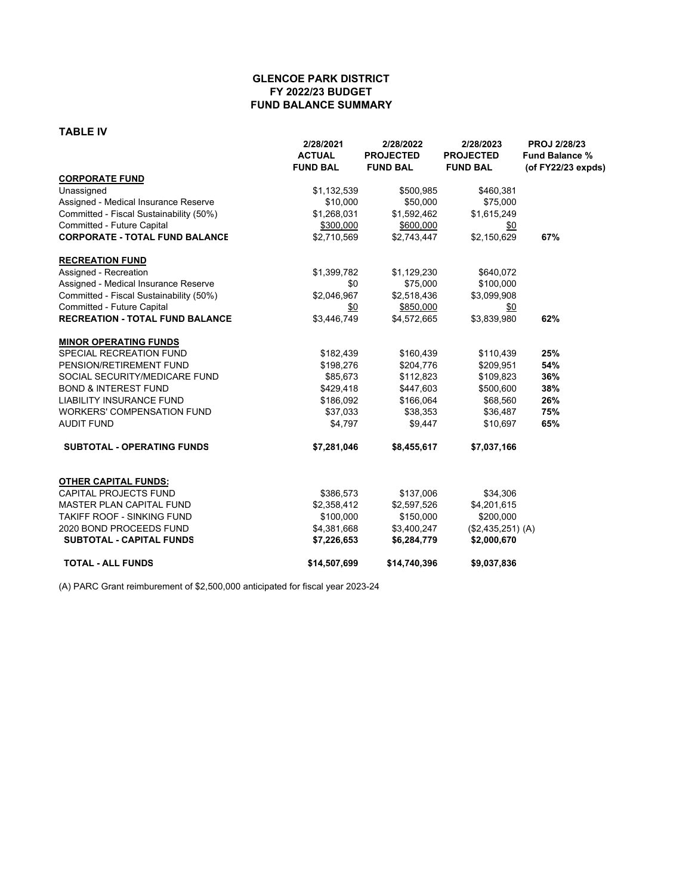### **GLENCOE PARK DISTRICT FY 2022/23 BUDGET FUND BALANCE SUMMARY**

#### **TABLE IV**

|                                         | 2/28/2021<br><b>ACTUAL</b><br><b>FUND BAL</b> | 2/28/2022<br><b>PROJECTED</b><br><b>FUND BAL</b> | 2/28/2023<br><b>PROJECTED</b><br><b>FUND BAL</b> | <b>PROJ 2/28/23</b><br><b>Fund Balance %</b><br>(of FY22/23 expds) |
|-----------------------------------------|-----------------------------------------------|--------------------------------------------------|--------------------------------------------------|--------------------------------------------------------------------|
| <b>CORPORATE FUND</b>                   |                                               |                                                  |                                                  |                                                                    |
| Unassigned                              | \$1,132,539                                   | \$500,985                                        | \$460,381                                        |                                                                    |
| Assigned - Medical Insurance Reserve    | \$10,000                                      | \$50,000                                         | \$75,000                                         |                                                                    |
| Committed - Fiscal Sustainability (50%) | \$1,268,031                                   | \$1,592,462                                      | \$1,615,249                                      |                                                                    |
| Committed - Future Capital              | \$300,000                                     | \$600,000                                        | \$0                                              |                                                                    |
| <b>CORPORATE - TOTAL FUND BALANCE</b>   | \$2,710,569                                   | \$2,743,447                                      | \$2,150,629                                      | 67%                                                                |
| <b>RECREATION FUND</b>                  |                                               |                                                  |                                                  |                                                                    |
| Assigned - Recreation                   | \$1,399,782                                   | \$1,129,230                                      | \$640,072                                        |                                                                    |
| Assigned - Medical Insurance Reserve    | \$0                                           | \$75,000                                         | \$100,000                                        |                                                                    |
| Committed - Fiscal Sustainability (50%) | \$2,046,967                                   | \$2,518,436                                      | \$3,099,908                                      |                                                                    |
| Committed - Future Capital              | \$0                                           | \$850,000                                        | \$0                                              |                                                                    |
| <b>RECREATION - TOTAL FUND BALANCE</b>  | \$3,446,749                                   | \$4,572,665                                      | \$3,839,980                                      | 62%                                                                |
| <b>MINOR OPERATING FUNDS</b>            |                                               |                                                  |                                                  |                                                                    |
| SPECIAL RECREATION FUND                 | \$182,439                                     | \$160,439                                        | \$110,439                                        | 25%                                                                |
| PENSION/RETIREMENT FUND                 | \$198,276                                     | \$204,776                                        | \$209,951                                        | 54%                                                                |
| SOCIAL SECURITY/MEDICARE FUND           | \$85,673                                      | \$112,823                                        | \$109,823                                        | 36%                                                                |
| <b>BOND &amp; INTEREST FUND</b>         | \$429,418                                     | \$447,603                                        | \$500,600                                        | 38%                                                                |
| <b>LIABILITY INSURANCE FUND</b>         | \$186,092                                     | \$166,064                                        | \$68,560                                         | 26%                                                                |
| <b>WORKERS' COMPENSATION FUND</b>       | \$37,033                                      | \$38,353                                         | \$36,487                                         | 75%                                                                |
| <b>AUDIT FUND</b>                       | \$4,797                                       | \$9,447                                          | \$10,697                                         | 65%                                                                |
| <b>SUBTOTAL - OPERATING FUNDS</b>       | \$7,281,046                                   | \$8,455,617                                      | \$7,037,166                                      |                                                                    |
| <b>OTHER CAPITAL FUNDS:</b>             |                                               |                                                  |                                                  |                                                                    |
| <b>CAPITAL PROJECTS FUND</b>            | \$386,573                                     | \$137,006                                        | \$34,306                                         |                                                                    |
| <b>MASTER PLAN CAPITAL FUND</b>         | \$2,358,412                                   | \$2,597,526                                      | \$4,201,615                                      |                                                                    |
| TAKIFF ROOF - SINKING FUND              | \$100,000                                     | \$150,000                                        | \$200,000                                        |                                                                    |
| 2020 BOND PROCEEDS FUND                 | \$4,381,668                                   | \$3,400,247                                      | (\$2,435,251) (A)                                |                                                                    |
| <b>SUBTOTAL - CAPITAL FUNDS</b>         | \$7,226,653                                   | \$6,284,779                                      | \$2,000,670                                      |                                                                    |
| <b>TOTAL - ALL FUNDS</b>                | \$14,507,699                                  | \$14,740,396                                     | \$9,037,836                                      |                                                                    |

(A) PARC Grant reimburement of \$2,500,000 anticipated for fiscal year 2023-24